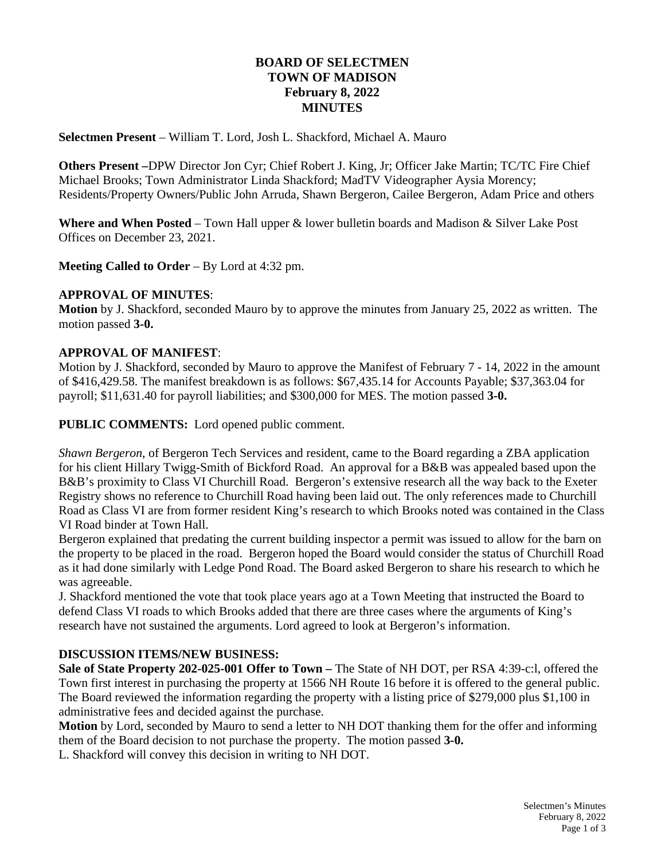# **BOARD OF SELECTMEN TOWN OF MADISON February 8, 2022 MINUTES**

**Selectmen Present** – William T. Lord, Josh L. Shackford, Michael A. Mauro

**Others Present –**DPW Director Jon Cyr; Chief Robert J. King, Jr; Officer Jake Martin; TC/TC Fire Chief Michael Brooks; Town Administrator Linda Shackford; MadTV Videographer Aysia Morency; Residents/Property Owners/Public John Arruda, Shawn Bergeron, Cailee Bergeron, Adam Price and others

**Where and When Posted** – Town Hall upper & lower bulletin boards and Madison & Silver Lake Post Offices on December 23, 2021.

**Meeting Called to Order** – By Lord at 4:32 pm.

#### **APPROVAL OF MINUTES**:

**Motion** by J. Shackford, seconded Mauro by to approve the minutes from January 25, 2022 as written. The motion passed **3-0.**

### **APPROVAL OF MANIFEST**:

Motion by J. Shackford, seconded by Mauro to approve the Manifest of February 7 - 14, 2022 in the amount of \$416,429.58. The manifest breakdown is as follows: \$67,435.14 for Accounts Payable; \$37,363.04 for payroll; \$11,631.40 for payroll liabilities; and \$300,000 for MES. The motion passed **3-0.**

**PUBLIC COMMENTS:** Lord opened public comment.

*Shawn Bergeron*, of Bergeron Tech Services and resident, came to the Board regarding a ZBA application for his client Hillary Twigg-Smith of Bickford Road. An approval for a B&B was appealed based upon the B&B's proximity to Class VI Churchill Road. Bergeron's extensive research all the way back to the Exeter Registry shows no reference to Churchill Road having been laid out. The only references made to Churchill Road as Class VI are from former resident King's research to which Brooks noted was contained in the Class VI Road binder at Town Hall.

Bergeron explained that predating the current building inspector a permit was issued to allow for the barn on the property to be placed in the road. Bergeron hoped the Board would consider the status of Churchill Road as it had done similarly with Ledge Pond Road. The Board asked Bergeron to share his research to which he was agreeable.

J. Shackford mentioned the vote that took place years ago at a Town Meeting that instructed the Board to defend Class VI roads to which Brooks added that there are three cases where the arguments of King's research have not sustained the arguments. Lord agreed to look at Bergeron's information.

### **DISCUSSION ITEMS/NEW BUSINESS:**

**Sale of State Property 202-025-001 Offer to Town –** The State of NH DOT, per RSA 4:39-c:l, offered the Town first interest in purchasing the property at 1566 NH Route 16 before it is offered to the general public. The Board reviewed the information regarding the property with a listing price of \$279,000 plus \$1,100 in administrative fees and decided against the purchase.

**Motion** by Lord, seconded by Mauro to send a letter to NH DOT thanking them for the offer and informing them of the Board decision to not purchase the property. The motion passed **3-0.**

L. Shackford will convey this decision in writing to NH DOT.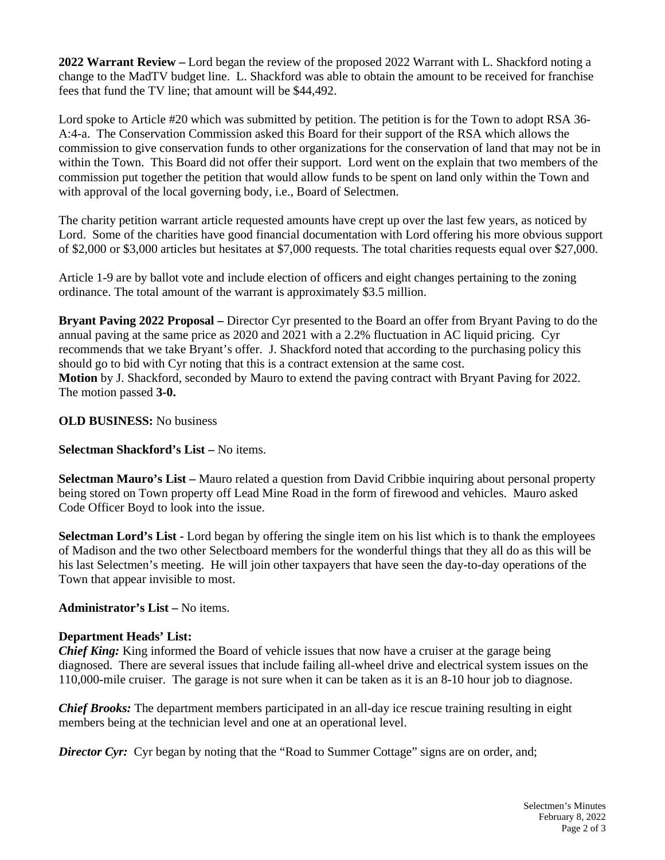**2022 Warrant Review –** Lord began the review of the proposed 2022 Warrant with L. Shackford noting a change to the MadTV budget line. L. Shackford was able to obtain the amount to be received for franchise fees that fund the TV line; that amount will be \$44,492.

Lord spoke to Article #20 which was submitted by petition. The petition is for the Town to adopt RSA 36- A:4-a. The Conservation Commission asked this Board for their support of the RSA which allows the commission to give conservation funds to other organizations for the conservation of land that may not be in within the Town. This Board did not offer their support. Lord went on the explain that two members of the commission put together the petition that would allow funds to be spent on land only within the Town and with approval of the local governing body, i.e., Board of Selectmen.

The charity petition warrant article requested amounts have crept up over the last few years, as noticed by Lord. Some of the charities have good financial documentation with Lord offering his more obvious support of \$2,000 or \$3,000 articles but hesitates at \$7,000 requests. The total charities requests equal over \$27,000.

Article 1-9 are by ballot vote and include election of officers and eight changes pertaining to the zoning ordinance. The total amount of the warrant is approximately \$3.5 million.

**Bryant Paving 2022 Proposal –** Director Cyr presented to the Board an offer from Bryant Paving to do the annual paving at the same price as 2020 and 2021 with a 2.2% fluctuation in AC liquid pricing. Cyr recommends that we take Bryant's offer. J. Shackford noted that according to the purchasing policy this should go to bid with Cyr noting that this is a contract extension at the same cost. **Motion** by J. Shackford, seconded by Mauro to extend the paving contract with Bryant Paving for 2022. The motion passed **3-0.**

### **OLD BUSINESS:** No business

### **Selectman Shackford's List –** No items.

**Selectman Mauro's List –** Mauro related a question from David Cribbie inquiring about personal property being stored on Town property off Lead Mine Road in the form of firewood and vehicles. Mauro asked Code Officer Boyd to look into the issue.

**Selectman Lord's List -** Lord began by offering the single item on his list which is to thank the employees of Madison and the two other Selectboard members for the wonderful things that they all do as this will be his last Selectmen's meeting. He will join other taxpayers that have seen the day-to-day operations of the Town that appear invisible to most.

**Administrator's List –** No items.

### **Department Heads' List:**

*Chief King:* King informed the Board of vehicle issues that now have a cruiser at the garage being diagnosed. There are several issues that include failing all-wheel drive and electrical system issues on the 110,000-mile cruiser. The garage is not sure when it can be taken as it is an 8-10 hour job to diagnose.

*Chief Brooks:* The department members participated in an all-day ice rescue training resulting in eight members being at the technician level and one at an operational level.

**Director Cyr:** Cyr began by noting that the "Road to Summer Cottage" signs are on order, and;